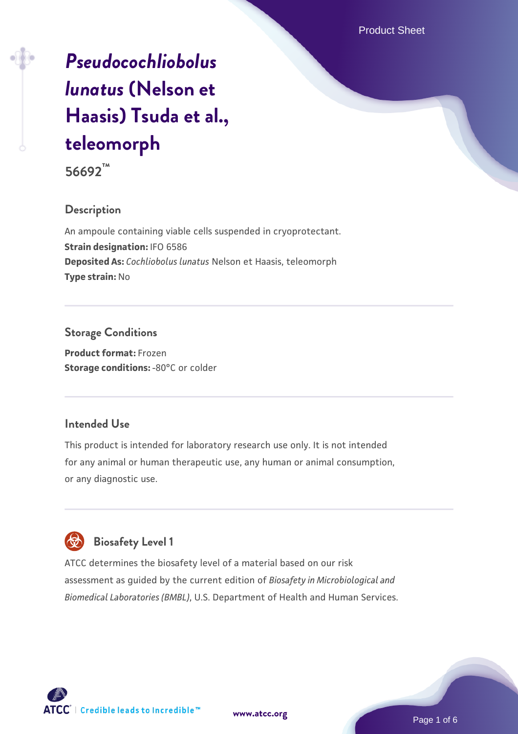Product Sheet

# *[Pseudocochliobolus](https://www.atcc.org/products/56692) [lunatus](https://www.atcc.org/products/56692)* **[\(Nelson et](https://www.atcc.org/products/56692) [Haasis\) Tsuda et al.,](https://www.atcc.org/products/56692) [teleomorph](https://www.atcc.org/products/56692)**

**56692™**

# **Description**

An ampoule containing viable cells suspended in cryoprotectant. **Strain designation:** IFO 6586 **Deposited As:** *Cochliobolus lunatus* Nelson et Haasis, teleomorph **Type strain:** No

# **Storage Conditions**

**Product format:** Frozen **Storage conditions: -80°C or colder** 

# **Intended Use**

This product is intended for laboratory research use only. It is not intended for any animal or human therapeutic use, any human or animal consumption, or any diagnostic use.

# **Biosafety Level 1**

ATCC determines the biosafety level of a material based on our risk assessment as guided by the current edition of *Biosafety in Microbiological and Biomedical Laboratories (BMBL)*, U.S. Department of Health and Human Services.

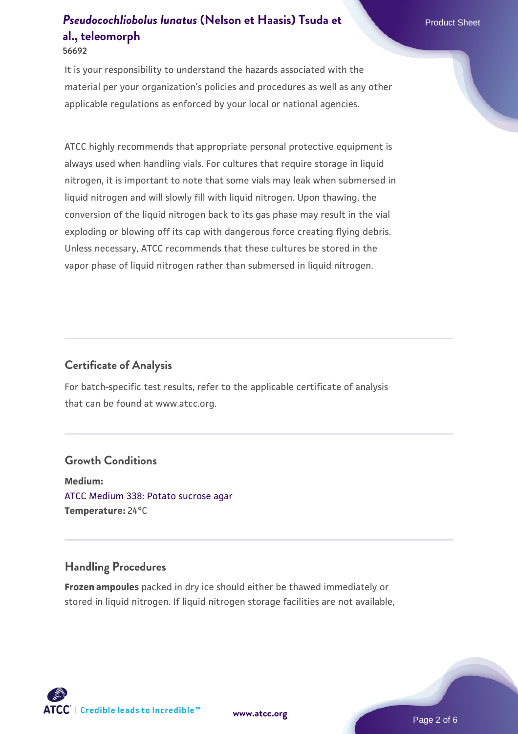# **[Pseudocochliobolus lunatus](https://www.atcc.org/products/56692) [\(Nelson et Haasis\) Tsuda et](https://www.atcc.org/products/56692) Product Sheet Product Sheet [al., teleomorph](https://www.atcc.org/products/56692) 56692**

It is your responsibility to understand the hazards associated with the material per your organization's policies and procedures as well as any other applicable regulations as enforced by your local or national agencies.

ATCC highly recommends that appropriate personal protective equipment is always used when handling vials. For cultures that require storage in liquid nitrogen, it is important to note that some vials may leak when submersed in liquid nitrogen and will slowly fill with liquid nitrogen. Upon thawing, the conversion of the liquid nitrogen back to its gas phase may result in the vial exploding or blowing off its cap with dangerous force creating flying debris. Unless necessary, ATCC recommends that these cultures be stored in the vapor phase of liquid nitrogen rather than submersed in liquid nitrogen.

# **Certificate of Analysis**

For batch-specific test results, refer to the applicable certificate of analysis that can be found at www.atcc.org.

#### **Growth Conditions**

**Medium:**  [ATCC Medium 338: Potato sucrose agar](https://www.atcc.org/-/media/product-assets/documents/microbial-media-formulations/3/3/8/atcc-medium-338.pdf?rev=46546b6f4a85482b856b30458c18db73) **Temperature:** 24°C

## **Handling Procedures**

**Frozen ampoules** packed in dry ice should either be thawed immediately or stored in liquid nitrogen. If liquid nitrogen storage facilities are not available,

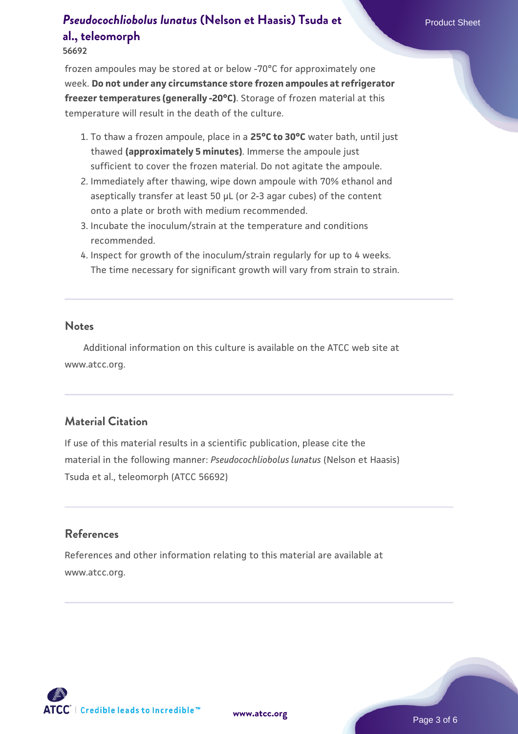# **[Pseudocochliobolus lunatus](https://www.atcc.org/products/56692) [\(Nelson et Haasis\) Tsuda et](https://www.atcc.org/products/56692) Product Sheet Product Sheet [al., teleomorph](https://www.atcc.org/products/56692)**

#### **56692**

frozen ampoules may be stored at or below -70°C for approximately one week. **Do not under any circumstance store frozen ampoules at refrigerator freezer temperatures (generally -20°C)**. Storage of frozen material at this temperature will result in the death of the culture.

- 1. To thaw a frozen ampoule, place in a **25°C to 30°C** water bath, until just thawed **(approximately 5 minutes)**. Immerse the ampoule just sufficient to cover the frozen material. Do not agitate the ampoule.
- 2. Immediately after thawing, wipe down ampoule with 70% ethanol and aseptically transfer at least 50 µL (or 2-3 agar cubes) of the content onto a plate or broth with medium recommended.
- 3. Incubate the inoculum/strain at the temperature and conditions recommended.
- 4. Inspect for growth of the inoculum/strain regularly for up to 4 weeks. The time necessary for significant growth will vary from strain to strain.

#### **Notes**

 Additional information on this culture is available on the ATCC web site at www.atcc.org.

## **Material Citation**

If use of this material results in a scientific publication, please cite the material in the following manner: *Pseudocochliobolus lunatus* (Nelson et Haasis) Tsuda et al., teleomorph (ATCC 56692)

# **References**

References and other information relating to this material are available at www.atcc.org.

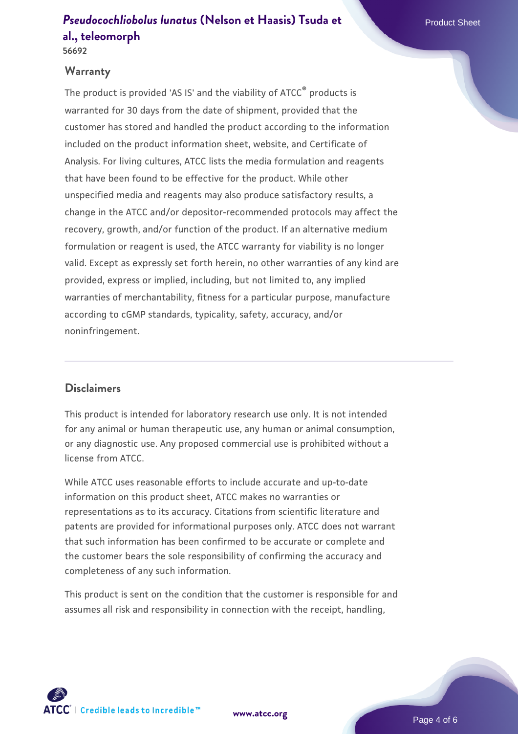# **[Pseudocochliobolus lunatus](https://www.atcc.org/products/56692) [\(Nelson et Haasis\) Tsuda et](https://www.atcc.org/products/56692) Product Sheet Product Sheet [al., teleomorph](https://www.atcc.org/products/56692) 56692**

#### **Warranty**

The product is provided 'AS IS' and the viability of ATCC<sup>®</sup> products is warranted for 30 days from the date of shipment, provided that the customer has stored and handled the product according to the information included on the product information sheet, website, and Certificate of Analysis. For living cultures, ATCC lists the media formulation and reagents that have been found to be effective for the product. While other unspecified media and reagents may also produce satisfactory results, a change in the ATCC and/or depositor-recommended protocols may affect the recovery, growth, and/or function of the product. If an alternative medium formulation or reagent is used, the ATCC warranty for viability is no longer valid. Except as expressly set forth herein, no other warranties of any kind are provided, express or implied, including, but not limited to, any implied warranties of merchantability, fitness for a particular purpose, manufacture according to cGMP standards, typicality, safety, accuracy, and/or noninfringement.

### **Disclaimers**

This product is intended for laboratory research use only. It is not intended for any animal or human therapeutic use, any human or animal consumption, or any diagnostic use. Any proposed commercial use is prohibited without a license from ATCC.

While ATCC uses reasonable efforts to include accurate and up-to-date information on this product sheet, ATCC makes no warranties or representations as to its accuracy. Citations from scientific literature and patents are provided for informational purposes only. ATCC does not warrant that such information has been confirmed to be accurate or complete and the customer bears the sole responsibility of confirming the accuracy and completeness of any such information.

This product is sent on the condition that the customer is responsible for and assumes all risk and responsibility in connection with the receipt, handling,



**[www.atcc.org](http://www.atcc.org)**

Page 4 of 6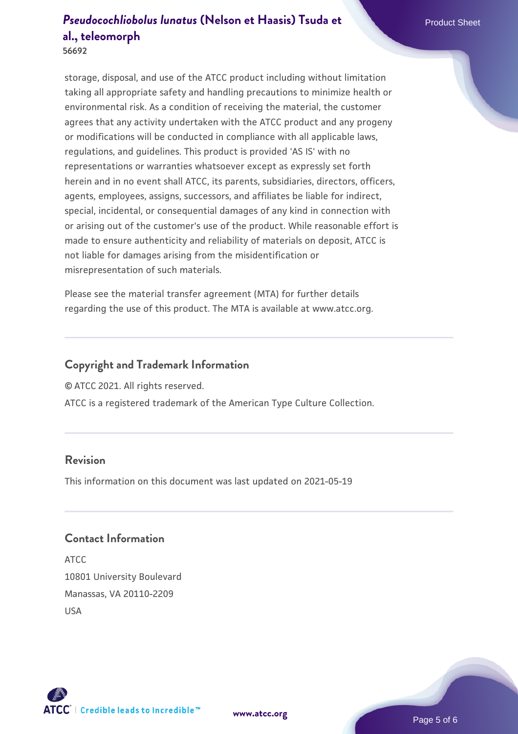**56692**

storage, disposal, and use of the ATCC product including without limitation taking all appropriate safety and handling precautions to minimize health or environmental risk. As a condition of receiving the material, the customer agrees that any activity undertaken with the ATCC product and any progeny or modifications will be conducted in compliance with all applicable laws, regulations, and guidelines. This product is provided 'AS IS' with no representations or warranties whatsoever except as expressly set forth herein and in no event shall ATCC, its parents, subsidiaries, directors, officers, agents, employees, assigns, successors, and affiliates be liable for indirect, special, incidental, or consequential damages of any kind in connection with or arising out of the customer's use of the product. While reasonable effort is made to ensure authenticity and reliability of materials on deposit, ATCC is not liable for damages arising from the misidentification or misrepresentation of such materials.

Please see the material transfer agreement (MTA) for further details regarding the use of this product. The MTA is available at www.atcc.org.

# **Copyright and Trademark Information**

© ATCC 2021. All rights reserved.

ATCC is a registered trademark of the American Type Culture Collection.

# **Revision**

This information on this document was last updated on 2021-05-19

# **Contact Information**

ATCC 10801 University Boulevard Manassas, VA 20110-2209 USA